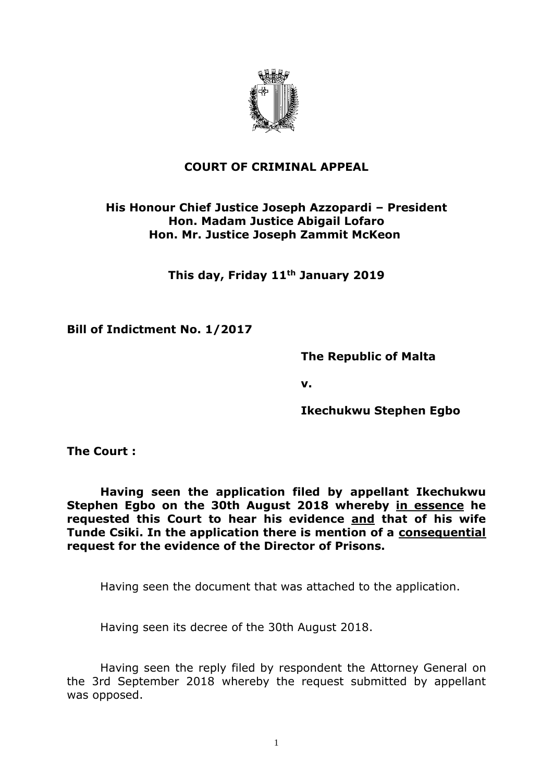

## **COURT OF CRIMINAL APPEAL**

# **His Honour Chief Justice Joseph Azzopardi – President Hon. Madam Justice Abigail Lofaro Hon. Mr. Justice Joseph Zammit McKeon**

**This day, Friday 11th January 2019**

**Bill of Indictment No. 1/2017**

**The Republic of Malta**

**v.**

**Ikechukwu Stephen Egbo**

**The Court :**

**Having seen the application filed by appellant Ikechukwu Stephen Egbo on the 30th August 2018 whereby in essence he requested this Court to hear his evidence and that of his wife Tunde Csiki. In the application there is mention of a consequential request for the evidence of the Director of Prisons.**

Having seen the document that was attached to the application.

Having seen its decree of the 30th August 2018.

Having seen the reply filed by respondent the Attorney General on the 3rd September 2018 whereby the request submitted by appellant was opposed.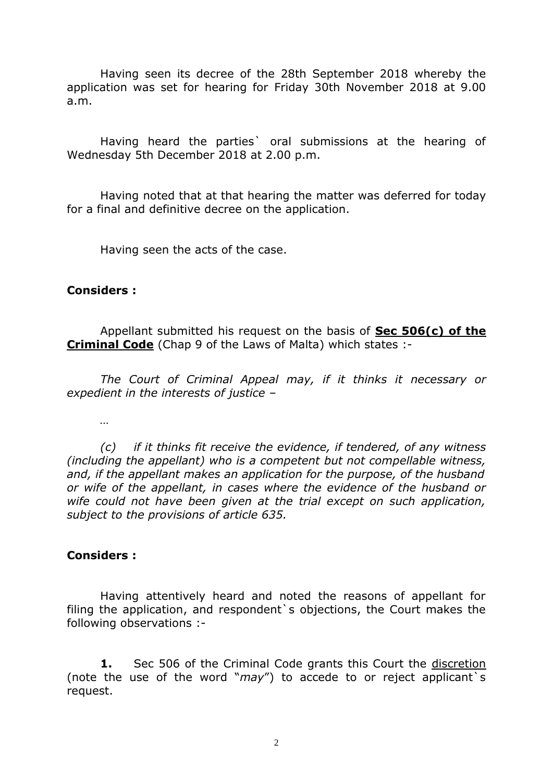Having seen its decree of the 28th September 2018 whereby the application was set for hearing for Friday 30th November 2018 at 9.00 a.m.

Having heard the parties` oral submissions at the hearing of Wednesday 5th December 2018 at 2.00 p.m.

Having noted that at that hearing the matter was deferred for today for a final and definitive decree on the application.

Having seen the acts of the case.

#### **Considers :**

Appellant submitted his request on the basis of **Sec 506(c) of the Criminal Code** (Chap 9 of the Laws of Malta) which states :-

*The Court of Criminal Appeal may, if it thinks it necessary or expedient in the interests of justice –*

*…*

*(c) if it thinks fit receive the evidence, if tendered, of any witness (including the appellant) who is a competent but not compellable witness, and, if the appellant makes an application for the purpose, of the husband or wife of the appellant, in cases where the evidence of the husband or wife could not have been given at the trial except on such application, subject to the provisions of article 635.*

## **Considers :**

Having attentively heard and noted the reasons of appellant for filing the application, and respondent`s objections, the Court makes the following observations :-

**1.** Sec 506 of the Criminal Code grants this Court the discretion (note the use of the word "*may*") to accede to or reject applicant`s request.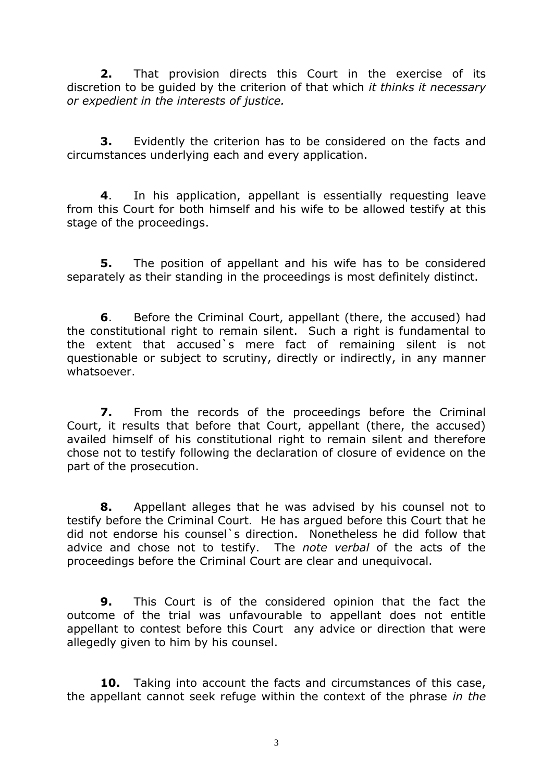**2.** That provision directs this Court in the exercise of its discretion to be guided by the criterion of that which *it thinks it necessary or expedient in the interests of justice.*

**3.** Evidently the criterion has to be considered on the facts and circumstances underlying each and every application.

**4**. In his application, appellant is essentially requesting leave from this Court for both himself and his wife to be allowed testify at this stage of the proceedings.

**5.** The position of appellant and his wife has to be considered separately as their standing in the proceedings is most definitely distinct.

**6**. Before the Criminal Court, appellant (there, the accused) had the constitutional right to remain silent. Such a right is fundamental to the extent that accused`s mere fact of remaining silent is not questionable or subject to scrutiny, directly or indirectly, in any manner whatsoever.

**7.** From the records of the proceedings before the Criminal Court, it results that before that Court, appellant (there, the accused) availed himself of his constitutional right to remain silent and therefore chose not to testify following the declaration of closure of evidence on the part of the prosecution.

**8.** Appellant alleges that he was advised by his counsel not to testify before the Criminal Court. He has argued before this Court that he did not endorse his counsel`s direction. Nonetheless he did follow that advice and chose not to testify. The *note verbal* of the acts of the proceedings before the Criminal Court are clear and unequivocal.

**9.** This Court is of the considered opinion that the fact the outcome of the trial was unfavourable to appellant does not entitle appellant to contest before this Court any advice or direction that were allegedly given to him by his counsel.

**10.** Taking into account the facts and circumstances of this case, the appellant cannot seek refuge within the context of the phrase *in the*